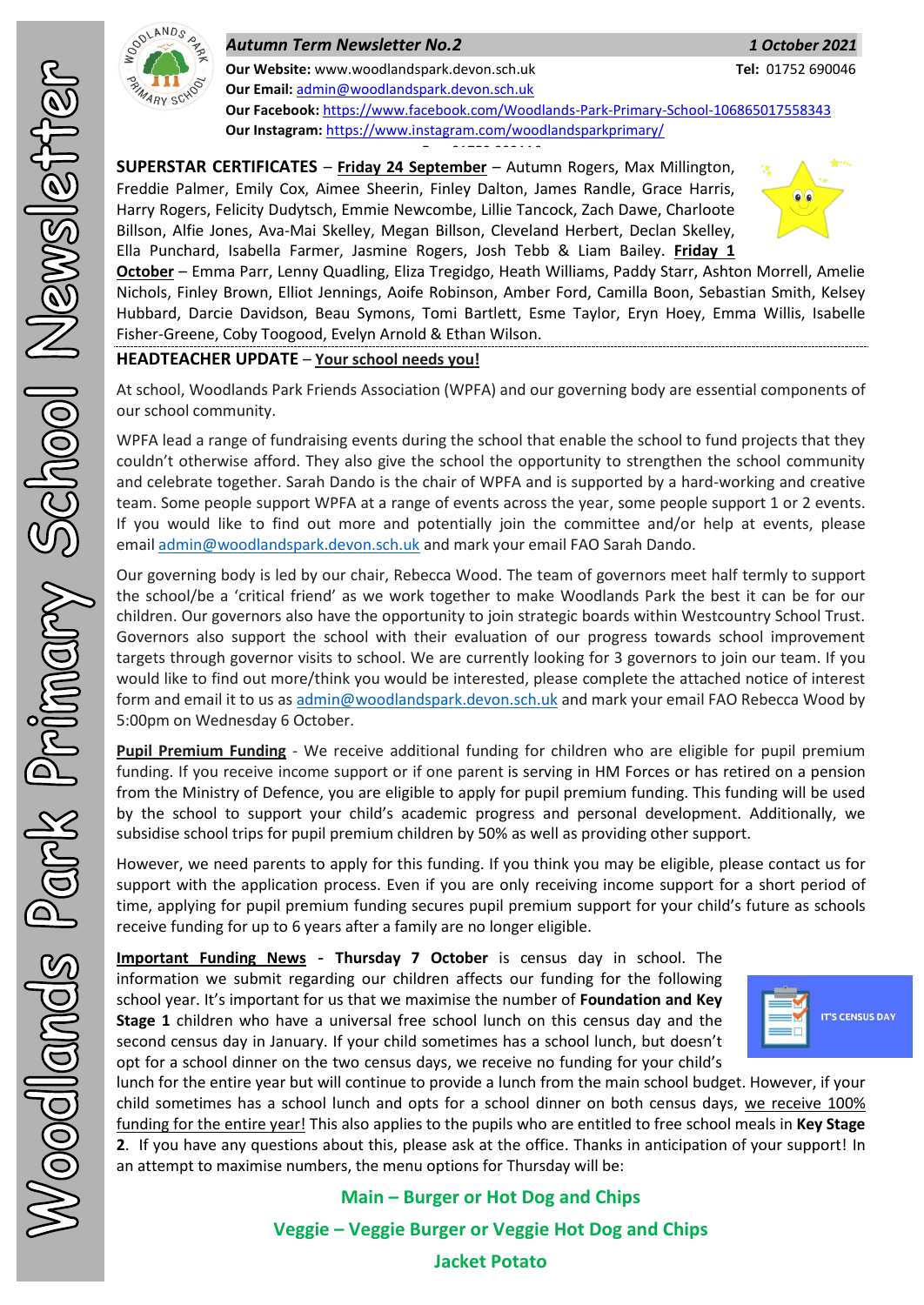

## *Autumn Term Newsletter No.2 1 October 2021*

**Our Email:** [admin@woodlandspark.devon.sch.uk](mailto:admin@woodlandspark.devon.sch.uk) **Our Facebook:** <https://www.facebook.com/Woodlands-Park-Primary-School-106865017558343> **Our Instagram:** <https://www.instagram.com/woodlandsparkprimary/>

**SUPERSTAR CERTIFICATES** – **Friday 24 September** – Autumn Rogers, Max Millington, Freddie Palmer, Emily Cox, Aimee Sheerin, Finley Dalton, James Randle, Grace Harris, Harry Rogers, Felicity Dudytsch, Emmie Newcombe, Lillie Tancock, Zach Dawe, Charloote Billson, Alfie Jones, Ava-Mai Skelley, Megan Billson, Cleveland Herbert, Declan Skelley, Ella Punchard, Isabella Farmer, Jasmine Rogers, Josh Tebb & Liam Bailey. **Friday 1**  <del>01752 893116 893116 893116 893116 89311</del>6 893116 893116 893116 893116 893116 893116 893116 893116 893116 893116<br>2011 803116 893116 893116 893116 893116 893116 893116 893116 893116 893116 893116 893116 893116 893116 8931



**October** – Emma Parr, Lenny Quadling, Eliza Tregidgo, Heath Williams, Paddy Starr, Ashton Morrell, Amelie Nichols, Finley Brown, Elliot Jennings, Aoife Robinson, Amber Ford, Camilla Boon, Sebastian Smith, Kelsey Hubbard, Darcie Davidson, Beau Symons, Tomi Bartlett, Esme Taylor, Eryn Hoey, Emma Willis, Isabelle Fisher-Greene, Coby Toogood, Evelyn Arnold & Ethan Wilson.

## **HEADTEACHER UPDATE** – **Your school needs you!**

At school, Woodlands Park Friends Association (WPFA) and our governing body are essential components of our school community.

WPFA lead a range of fundraising events during the school that enable the school to fund projects that they couldn't otherwise afford. They also give the school the opportunity to strengthen the school community and celebrate together. Sarah Dando is the chair of WPFA and is supported by a hard-working and creative team. Some people support WPFA at a range of events across the year, some people support 1 or 2 events. If you would like to find out more and potentially join the committee and/or help at events, please email [admin@woodlandspark.devon.sch.uk](mailto:admin@woodlandspark.devon.sch.uk) and mark your email FAO Sarah Dando.

Our governing body is led by our chair, Rebecca Wood. The team of governors meet half termly to support the school/be a 'critical friend' as we work together to make Woodlands Park the best it can be for our children. Our governors also have the opportunity to join strategic boards within Westcountry School Trust. Governors also support the school with their evaluation of our progress towards school improvement targets through governor visits to school. We are currently looking for 3 governors to join our team. If you would like to find out more/think you would be interested, please complete the attached notice of interest form and email it to us as [admin@woodlandspark.devon.sch.uk](mailto:admin@woodlandspark.devon.sch.uk) and mark your email FAO Rebecca Wood by 5:00pm on Wednesday 6 October.

**Pupil Premium Funding** - We receive additional funding for children who are eligible for pupil premium funding. If you receive income support or if one parent is serving in HM Forces or has retired on a pension from the Ministry of Defence, you are eligible to apply for pupil premium funding. This funding will be used by the school to support your child's academic progress and personal development. Additionally, we subsidise school trips for pupil premium children by 50% as well as providing other support.

However, we need parents to apply for this funding. If you think you may be eligible, please contact us for support with the application process. Even if you are only receiving income support for a short period of time, applying for pupil premium funding secures pupil premium support for your child's future as schools receive funding for up to 6 years after a family are no longer eligible.

**Important Funding News** - **Thursday 7 October** is census day in school. The information we submit regarding our children affects our funding for the following school year. It's important for us that we maximise the number of **Foundation and Key Stage 1** children who have a universal free school lunch on this census day and the second census day in January. If your child sometimes has a school lunch, but doesn't opt for a school dinner on the two census days, we receive no funding for your child's



lunch for the entire year but will continue to provide a lunch from the main school budget. However, if your child sometimes has a school lunch and opts for a school dinner on both census days, we receive 100% funding for the entire year! This also applies to the pupils who are entitled to free school meals in **Key Stage 2**. If you have any questions about this, please ask at the office. Thanks in anticipation of your support! In an attempt to maximise numbers, the menu options for Thursday will be:

**Main – Burger or Hot Dog and Chips**

**Veggie – Veggie Burger or Veggie Hot Dog and Chips**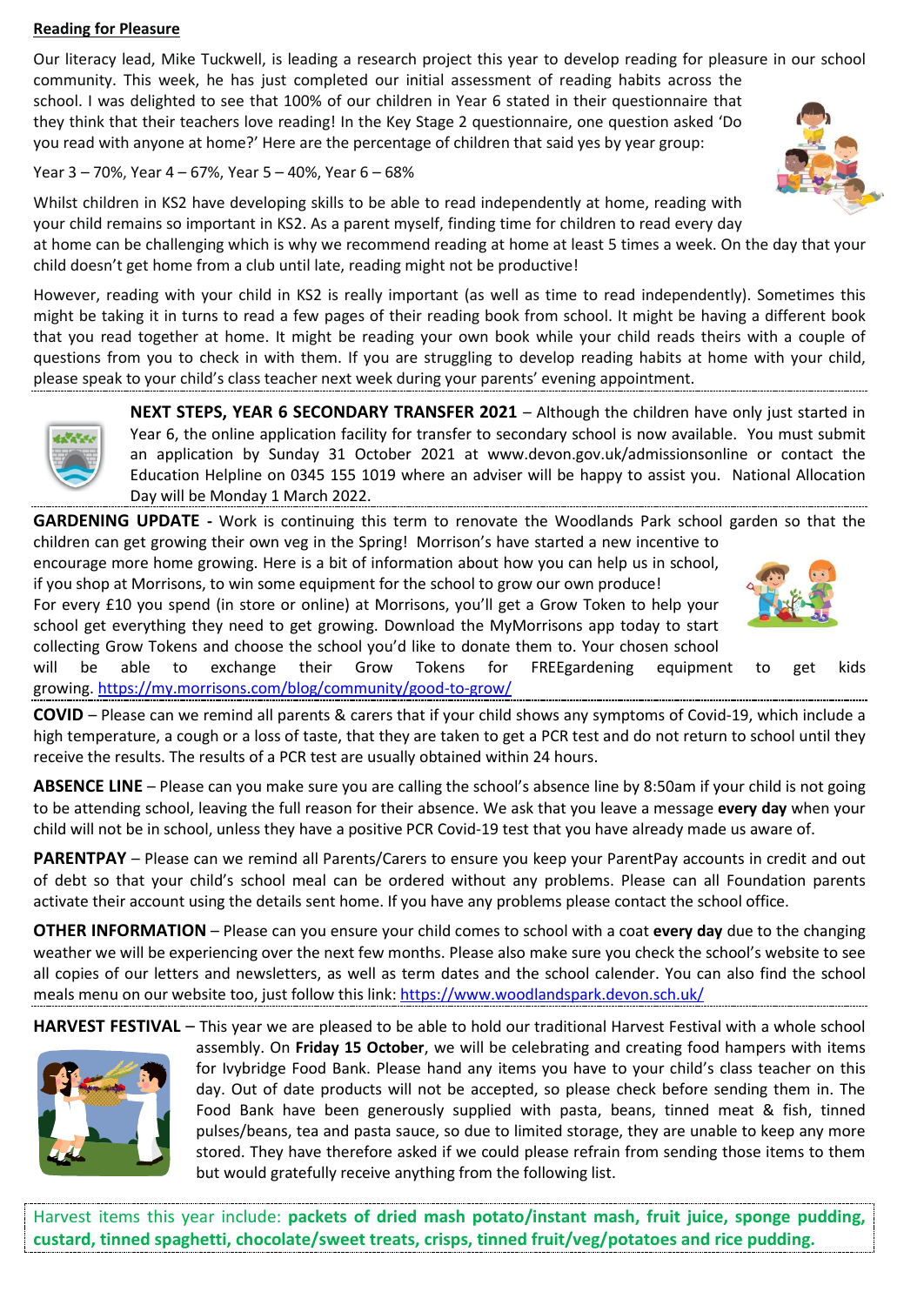#### **Reading for Pleasure**

Our literacy lead, Mike Tuckwell, is leading a research project this year to develop reading for pleasure in our school community. This week, he has just completed our initial assessment of reading habits across the school. I was delighted to see that 100% of our children in Year 6 stated in their questionnaire that they think that their teachers love reading! In the Key Stage 2 questionnaire, one question asked 'Do you read with anyone at home?' Here are the percentage of children that said yes by year group:

### Year 3 – 70%, Year 4 – 67%, Year 5 – 40%, Year 6 – 68%

Whilst children in KS2 have developing skills to be able to read independently at home, reading with your child remains so important in KS2. As a parent myself, finding time for children to read every day at home can be challenging which is why we recommend reading at home at least 5 times a week. On the day that your child doesn't get home from a club until late, reading might not be productive!

However, reading with your child in KS2 is really important (as well as time to read independently). Sometimes this might be taking it in turns to read a few pages of their reading book from school. It might be having a different book that you read together at home. It might be reading your own book while your child reads theirs with a couple of questions from you to check in with them. If you are struggling to develop reading habits at home with your child, please speak to your child's class teacher next week during your parents' evening appointment.

> **NEXT STEPS, YEAR 6 SECONDARY TRANSFER 2021** – Although the children have only just started in Year 6, the online application facility for transfer to secondary school is now available. You must submit an application by Sunday 31 October 2021 at www.devon.gov.uk/admissionsonline or contact the Education Helpline on 0345 155 1019 where an adviser will be happy to assist you. National Allocation Day will be Monday 1 March 2022.

**GARDENING UPDATE -** Work is continuing this term to renovate the Woodlands Park school garden so that the children can get growing their own veg in the Spring! Morrison's have started a new incentive to

encourage more home growing. Here is a bit of information about how you can help us in school, if you shop at Morrisons, to win some equipment for the school to grow our own produce! For every £10 you spend (in store or online) at Morrisons, you'll get a Grow Token to help your

school get everything they need to get growing. Download the MyMorrisons app today to start collecting Grow Tokens and choose the school you'd like to donate them to. Your chosen school will be able to exchange their Grow Tokens for FREEgardening equipment to get kids

growing. <https://my.morrisons.com/blog/community/good-to-grow/>

**COVID** – Please can we remind all parents & carers that if your child shows any symptoms of Covid-19, which include a high temperature, a cough or a loss of taste, that they are taken to get a PCR test and do not return to school until they receive the results. The results of a PCR test are usually obtained within 24 hours.

**ABSENCE LINE** – Please can you make sure you are calling the school's absence line by 8:50am if your child is not going to be attending school, leaving the full reason for their absence. We ask that you leave a message **every day** when your child will not be in school, unless they have a positive PCR Covid-19 test that you have already made us aware of.

**PARENTPAY** – Please can we remind all Parents/Carers to ensure you keep your ParentPay accounts in credit and out of debt so that your child's school meal can be ordered without any problems. Please can all Foundation parents activate their account using the details sent home. If you have any problems please contact the school office.

**OTHER INFORMATION** – Please can you ensure your child comes to school with a coat **every day** due to the changing weather we will be experiencing over the next few months. Please also make sure you check the school's website to see all copies of our letters and newsletters, as well as term dates and the school calender. You can also find the school meals menu on our website too, just follow this link: <https://www.woodlandspark.devon.sch.uk/>

**HARVEST FESTIVAL** – This year we are pleased to be able to hold our traditional Harvest Festival with a whole school



assembly. On **Friday 15 October**, we will be celebrating and creating food hampers with items for Ivybridge Food Bank. Please hand any items you have to your child's class teacher on this day. Out of date products will not be accepted, so please check before sending them in. The Food Bank have been generously supplied with pasta, beans, tinned meat & fish, tinned pulses/beans, tea and pasta sauce, so due to limited storage, they are unable to keep any more stored. They have therefore asked if we could please refrain from sending those items to them but would gratefully receive anything from the following list.

Harvest items this year include: **packets of dried mash potato/instant mash, fruit juice, sponge pudding, custard, tinned spaghetti, chocolate/sweet treats, crisps, tinned fruit/veg/potatoes and rice pudding.**